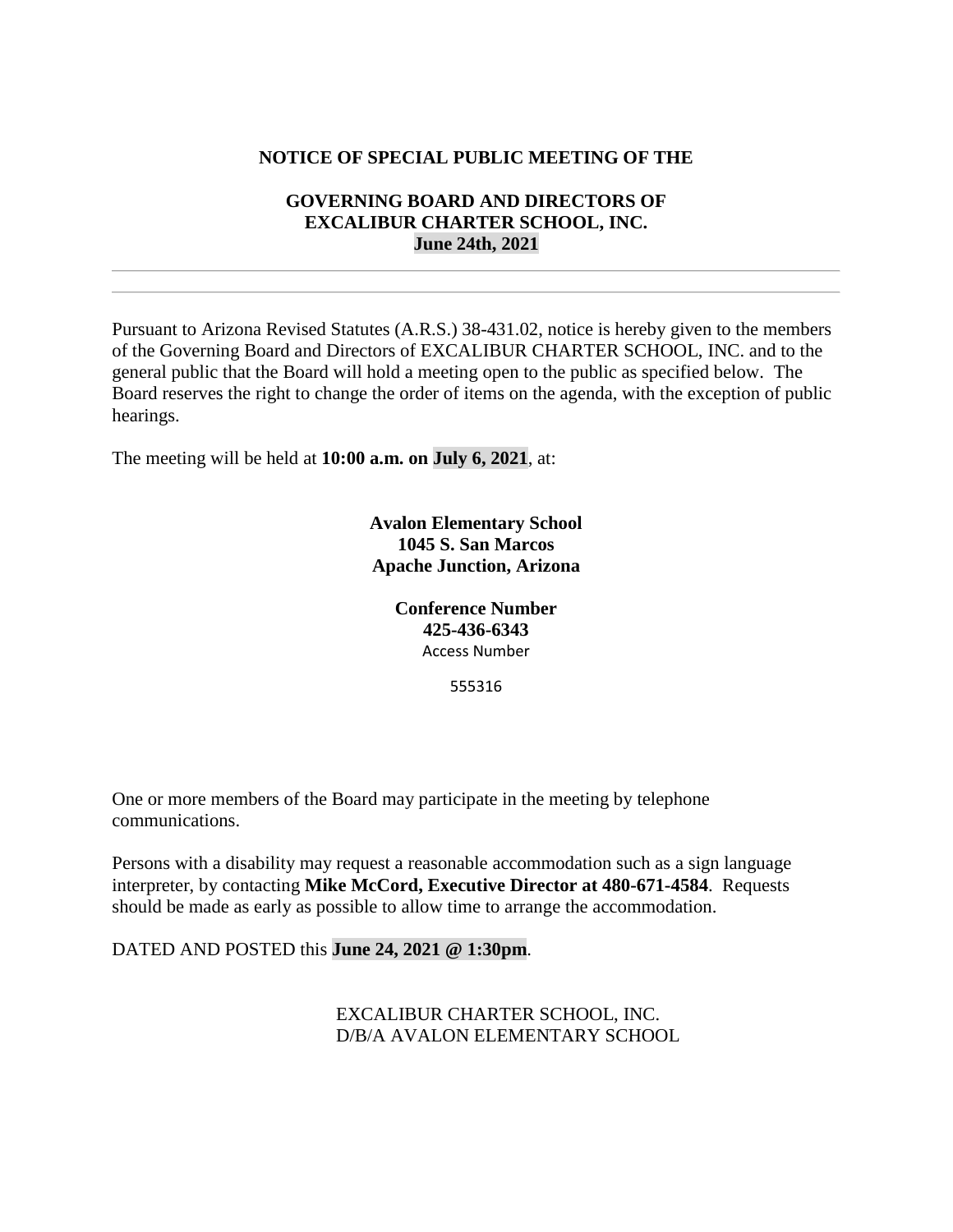## **NOTICE OF SPECIAL PUBLIC MEETING OF THE**

## **GOVERNING BOARD AND DIRECTORS OF EXCALIBUR CHARTER SCHOOL, INC. June 24th, 2021**

Pursuant to Arizona Revised Statutes (A.R.S.) 38-431.02, notice is hereby given to the members of the Governing Board and Directors of EXCALIBUR CHARTER SCHOOL, INC. and to the general public that the Board will hold a meeting open to the public as specified below. The Board reserves the right to change the order of items on the agenda, with the exception of public hearings.

The meeting will be held at **10:00 a.m. on July 6, 2021**, at:

**Avalon Elementary School 1045 S. San Marcos Apache Junction, Arizona**

> **Conference Number 425-436-6343** Access Number

> > 555316

One or more members of the Board may participate in the meeting by telephone communications.

Persons with a disability may request a reasonable accommodation such as a sign language interpreter, by contacting **Mike McCord, Executive Director at 480-671-4584**. Requests should be made as early as possible to allow time to arrange the accommodation.

DATED AND POSTED this **June 24, 2021 @ 1:30pm**.

EXCALIBUR CHARTER SCHOOL, INC. D/B/A AVALON ELEMENTARY SCHOOL